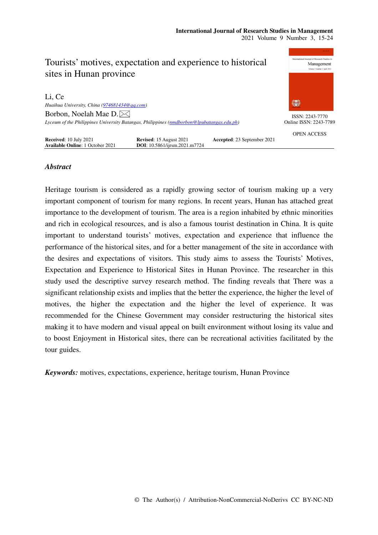| Tourists' motives, expectation and experience to historical<br>sites in Hunan province    |                                                                 |                             | International Journal of Research Studies in<br>Management<br>Volume 1 Number 1 April 2012 |
|-------------------------------------------------------------------------------------------|-----------------------------------------------------------------|-----------------------------|--------------------------------------------------------------------------------------------|
| Li, Ce                                                                                    |                                                                 |                             |                                                                                            |
| Huaihua University, China (974681434@qq.com)                                              |                                                                 |                             | 纂                                                                                          |
| Borbon, Noelah Mae D. $\boxtimes$                                                         |                                                                 |                             | ISSN: 2243-7770                                                                            |
| Lyceum of the Philippines University Batangas, Philippines (nmdborbon@lpubatangas.edu.ph) |                                                                 |                             | Online ISSN: 2243-7789                                                                     |
| Received: 10 July 2021<br><b>Available Online: 1 October 2021</b>                         | <b>Revised:</b> 15 August 2021<br>DOI: 10.5861/ijrsm.2021.m7724 | Accepted: 23 September 2021 | <b>OPEN ACCESS</b>                                                                         |

# *Abstract*

Heritage tourism is considered as a rapidly growing sector of tourism making up a very important component of tourism for many regions. In recent years, Hunan has attached great importance to the development of tourism. The area is a region inhabited by ethnic minorities and rich in ecological resources, and is also a famous tourist destination in China. It is quite important to understand tourists' motives, expectation and experience that influence the performance of the historical sites, and for a better management of the site in accordance with the desires and expectations of visitors. This study aims to assess the Tourists' Motives, Expectation and Experience to Historical Sites in Hunan Province. The researcher in this study used the descriptive survey research method. The finding reveals that There was a significant relationship exists and implies that the better the experience, the higher the level of motives, the higher the expectation and the higher the level of experience. It was recommended for the Chinese Government may consider restructuring the historical sites making it to have modern and visual appeal on built environment without losing its value and to boost Enjoyment in Historical sites, there can be recreational activities facilitated by the tour guides.

*Keywords:* motives, expectations, experience, heritage tourism, Hunan Province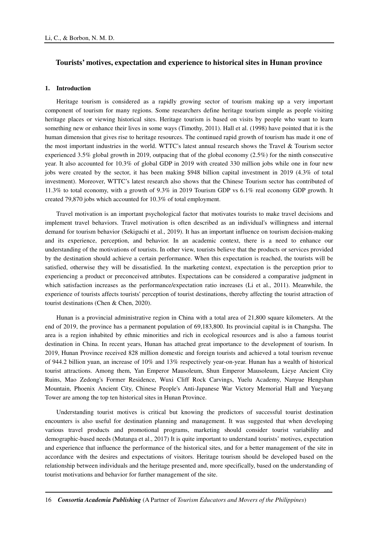## **Tourists' motives, expectation and experience to historical sites in Hunan province**

## **1. Introduction**

Heritage tourism is considered as a rapidly growing sector of tourism making up a very important component of tourism for many regions. Some researchers define heritage tourism simple as people visiting heritage places or viewing historical sites. Heritage tourism is based on visits by people who want to learn something new or enhance their lives in some ways (Timothy, 2011). Hall et al. (1998) have pointed that it is the human dimension that gives rise to heritage resources. The continued rapid growth of tourism has made it one of the most important industries in the world. WTTC's latest annual research shows the Travel & Tourism sector experienced 3.5% global growth in 2019, outpacing that of the global economy (2.5%) for the ninth consecutive year. It also accounted for 10.3% of global GDP in 2019 with created 330 million jobs while one in four new jobs were created by the sector, it has been making \$948 billion capital investment in 2019 (4.3% of total investment). Moreover, WTTC's latest research also shows that the Chinese Tourism sector has contributed of 11.3% to total economy, with a growth of 9.3% in 2019 Tourism GDP vs 6.1% real economy GDP growth. It created 79,870 jobs which accounted for 10.3% of total employment.

Travel motivation is an important psychological factor that motivates tourists to make travel decisions and implement travel behaviors. Travel motivation is often described as an individual's willingness and internal demand for tourism behavior (Sekiguchi et al., 2019). It has an important influence on tourism decision-making and its experience, perception, and behavior. In an academic context, there is a need to enhance our understanding of the motivations of tourists. In other view, tourists believe that the products or services provided by the destination should achieve a certain performance. When this expectation is reached, the tourists will be satisfied, otherwise they will be dissatisfied. In the marketing context, expectation is the perception prior to experiencing a product or preconceived attributes. Expectations can be considered a comparative judgment in which satisfaction increases as the performance/expectation ratio increases (Li et al., 2011). Meanwhile, the experience of tourists affects tourists' perception of tourist destinations, thereby affecting the tourist attraction of tourist destinations (Chen & Chen, 2020).

Hunan is a provincial administrative region in China with a total area of 21,800 square kilometers. At the end of 2019, the province has a permanent population of 69,183,800. Its provincial capital is in Changsha. The area is a region inhabited by ethnic minorities and rich in ecological resources and is also a famous tourist destination in China. In recent years, Hunan has attached great importance to the development of tourism. In 2019, Hunan Province received 828 million domestic and foreign tourists and achieved a total tourism revenue of 944.2 billion yuan, an increase of 10% and 13% respectively year-on-year. Hunan has a wealth of historical tourist attractions. Among them, Yan Emperor Mausoleum, Shun Emperor Mausoleum, Lieye Ancient City Ruins, Mao Zedong's Former Residence, Wuxi Cliff Rock Carvings, Yuelu Academy, Nanyue Hengshan Mountain, Phoenix Ancient City, Chinese People's Anti-Japanese War Victory Memorial Hall and Yueyang Tower are among the top ten historical sites in Hunan Province.

Understanding tourist motives is critical but knowing the predictors of successful tourist destination encounters is also useful for destination planning and management. It was suggested that when developing various travel products and promotional programs, marketing should consider tourist variability and demographic-based needs (Mutanga et al., 2017) It is quite important to understand tourists' motives, expectation and experience that influence the performance of the historical sites, and for a better management of the site in accordance with the desires and expectations of visitors. Heritage tourism should be developed based on the relationship between individuals and the heritage presented and, more specifically, based on the understanding of tourist motivations and behavior for further management of the site.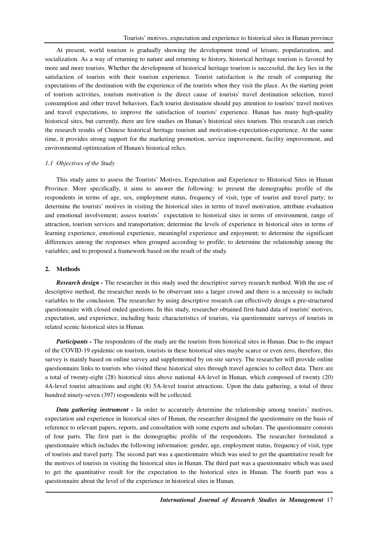At present, world tourism is gradually showing the development trend of leisure, popularization, and socialization. As a way of returning to nature and returning to history, historical heritage tourism is favored by more and more tourists. Whether the development of historical heritage tourism is successful, the key lies in the satisfaction of tourists with their tourism experience. Tourist satisfaction is the result of comparing the expectations of the destination with the experience of the tourists when they visit the place. As the starting point of tourism activities, tourism motivation is the direct cause of tourists' travel destination selection, travel consumption and other travel behaviors. Each tourist destination should pay attention to tourists' travel motives and travel expectations, to improve the satisfaction of tourists' experience. Hunan has many high-quality historical sites, but currently, there are few studies on Hunan's historical sites tourism. This research can enrich the research results of Chinese historical heritage tourism and motivation-expectation-experience. At the same time, it provides strong support for the marketing promotion, service improvement, facility improvement, and environmental optimization of Hunan's historical relics.

#### *1.1 Objectives of the Study*

This study aims to assess the Tourists' Motives, Expectation and Experience to Historical Sites in Hunan Province. More specifically, it aims to answer the following: to present the demographic profile of the respondents in terms of age, sex, employment status, frequency of visit, type of tourist and travel party; to determine the tourists' motives in visiting the historical sites in terms of travel motivation, attribute evaluation and emotional involvement; assess tourists' expectation to historical sites in terms of environment, range of attraction, tourism services and transportation; determine the levels of experience in historical sites in terms of learning experience, emotional experience, meaningful experience and enjoyment; to determine the significant differences among the responses when grouped according to profile; to determine the relationship among the variables; and to proposed a framework based on the result of the study.

## **2. Methods**

*Research design -* The researcher in this study used the descriptive survey research method. With the use of descriptive method, the researcher needs to be observant into a larger crowd and there is a necessity to include variables to the conclusion. The researcher by using descriptive research can effectively design a pre-structured questionnaire with closed ended questions. In this study, researcher obtained first-hand data of tourists' motives, expectation, and experience, including basic characteristics of tourists, via questionnaire surveys of tourists in related scenic historical sites in Hunan.

*Participants -* The respondents of the study are the tourists from historical sites in Hunan. Due to the impact of the COVID-19 epidemic on tourism, tourists in these historical sites maybe scarce or even zero, therefore, this survey is mainly based on online survey and supplemented by on-site survey. The researcher will provide online questionnaire links to tourists who visited these historical sites through travel agencies to collect data. There are a total of twenty-eight (28) historical sites above national 4A-level in Hunan, which composed of twenty (20) 4A-level tourist attractions and eight (8) 5A-level tourist attractions. Upon the data gathering, a total of three hundred ninety-seven (397) respondents will be collected.

*Data gathering instrument -* In order to accurately determine the relationship among tourists' motives, expectation and experience in historical sites of Hunan, the researcher designed the questionnaire on the basis of reference to relevant papers, reports, and consultation with some experts and scholars. The questionnaire consists of four parts. The first part is the demographic profile of the respondents. The researcher formulated a questionnaire which includes the following information: gender, age, employment status, frequency of visit, type of tourists and travel party. The second part was a questionnaire which was used to get the quantitative result for the motives of tourists in visiting the historical sites in Hunan. The third part was a questionnaire which was used to get the quantitative result for the expectation to the historical sites in Hunan. The fourth part was a questionnaire about the level of the experience in historical sites in Hunan.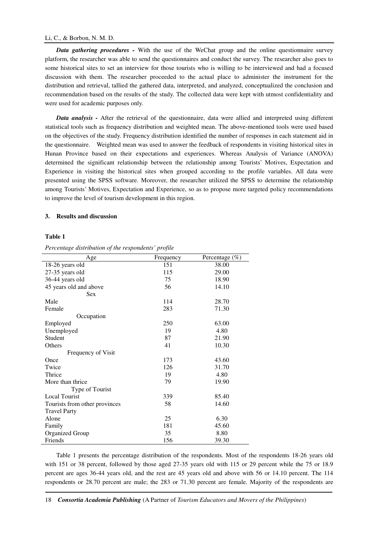#### Li, C., & Borbon, N. M. D.

*Data gathering procedures -* With the use of the WeChat group and the online questionnaire survey platform, the researcher was able to send the questionnaires and conduct the survey. The researcher also goes to some historical sites to set an interview for those tourists who is willing to be interviewed and had a focused discussion with them. The researcher proceeded to the actual place to administer the instrument for the distribution and retrieval, tallied the gathered data, interpreted, and analyzed, conceptualized the conclusion and recommendation based on the results of the study. The collected data were kept with utmost confidentiality and were used for academic purposes only.

*Data analysis -* After the retrieval of the questionnaire, data were allied and interpreted using different statistical tools such as frequency distribution and weighted mean. The above-mentioned tools were used based on the objectives of the study. Frequency distribution identified the number of responses in each statement aid in the questionnaire. Weighted mean was used to answer the feedback of respondents in visiting historical sites in Hunan Province based on their expectations and experiences. Whereas Analysis of Variance (ANOVA) determined the significant relationship between the relationship among Tourists' Motives, Expectation and Experience in visiting the historical sites when grouped according to the profile variables. All data were presented using the SPSS software. Moreover, the researcher utilized the SPSS to determine the relationship among Tourists' Motives, Expectation and Experience, so as to propose more targeted policy recommendations to improve the level of tourism development in this region.

## **3. Results and discussion**

#### **Table 1**

| Age                           | Frequency | Percentage (%) |
|-------------------------------|-----------|----------------|
| 18-26 years old               | 151       | 38.00          |
| 27-35 years old               | 115       | 29.00          |
| 36-44 years old               | 75        | 18.90          |
| 45 years old and above        | 56        | 14.10          |
| <b>Sex</b>                    |           |                |
| Male                          | 114       | 28.70          |
| Female                        | 283       | 71.30          |
| Occupation                    |           |                |
| Employed                      | 250       | 63.00          |
| Unemployed                    | 19        | 4.80           |
| Student                       | 87        | 21.90          |
| Others                        | 41        | 10.30          |
| Frequency of Visit            |           |                |
| Once                          | 173       | 43.60          |
| Twice                         | 126       | 31.70          |
| Thrice                        | 19        | 4.80           |
| More than thrice              | 79        | 19.90          |
| Type of Tourist               |           |                |
| <b>Local Tourist</b>          | 339       | 85.40          |
| Tourists from other provinces | 58        | 14.60          |
| <b>Travel Party</b>           |           |                |
| Alone                         | 25        | 6.30           |
| Family                        | 181       | 45.60          |
| <b>Organized Group</b>        | 35        | 8.80           |
| Friends                       | 156       | 39.30          |

*Percentage distribution of the respondents' profile*

Table 1 presents the percentage distribution of the respondents. Most of the respondents 18-26 years old with 151 or 38 percent, followed by those aged 27-35 years old with 115 or 29 percent while the 75 or 18.9 percent are ages 36-44 years old, and the rest are 45 years old and above with 56 or 14.10 percent. The 114 respondents or 28.70 percent are male; the 283 or 71.30 percent are female. Majority of the respondents are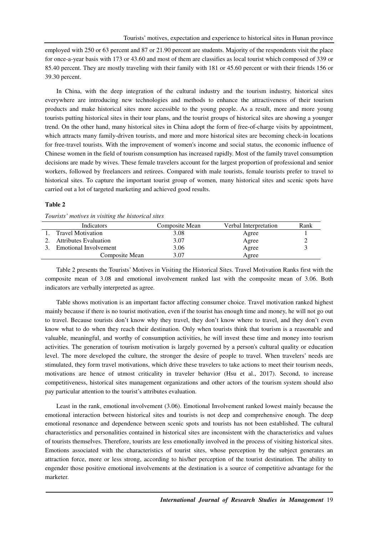employed with 250 or 63 percent and 87 or 21.90 percent are students. Majority of the respondents visit the place for once-a-year basis with 173 or 43.60 and most of them are classifies as local tourist which composed of 339 or 85.40 percent. They are mostly traveling with their family with 181 or 45.60 percent or with their friends 156 or 39.30 percent.

In China, with the deep integration of the cultural industry and the tourism industry, historical sites everywhere are introducing new technologies and methods to enhance the attractiveness of their tourism products and make historical sites more accessible to the young people. As a result, more and more young tourists putting historical sites in their tour plans, and the tourist groups of historical sites are showing a younger trend. On the other hand, many historical sites in China adopt the form of free-of-charge visits by appointment, which attracts many family-driven tourists, and more and more historical sites are becoming check-in locations for free-travel tourists. With the improvement of women's income and social status, the economic influence of Chinese women in the field of tourism consumption has increased rapidly. Most of the family travel consumption decisions are made by wives. These female travelers account for the largest proportion of professional and senior workers, followed by freelancers and retirees. Compared with male tourists, female tourists prefer to travel to historical sites. To capture the important tourist group of women, many historical sites and scenic spots have carried out a lot of targeted marketing and achieved good results.

#### **Table 2**

| Tom money who has no comed the more recent stress |                |                       |      |
|---------------------------------------------------|----------------|-----------------------|------|
| Indicators                                        | Composite Mean | Verbal Interpretation | Rank |
| <b>Travel Motivation</b>                          | 3.08           | Agree                 |      |
| <b>Attributes Evaluation</b>                      | 3.07           | Agree                 |      |
| <b>Emotional Involvement</b>                      | 3.06           | Agree                 |      |
| Composite Mean                                    | 3.07           | Agree                 |      |

*Tourists' motives in visiting the historical sites* 

Table 2 presents the Tourists' Motives in Visiting the Historical Sites. Travel Motivation Ranks first with the composite mean of 3.08 and emotional involvement ranked last with the composite mean of 3.06. Both indicators are verbally interpreted as agree.

Table shows motivation is an important factor affecting consumer choice. Travel motivation ranked highest mainly because if there is no tourist motivation, even if the tourist has enough time and money, he will not go out to travel. Because tourists don't know why they travel, they don't know where to travel, and they don't even know what to do when they reach their destination. Only when tourists think that tourism is a reasonable and valuable, meaningful, and worthy of consumption activities, he will invest these time and money into tourism activities. The generation of tourism motivation is largely governed by a person's cultural quality or education level. The more developed the culture, the stronger the desire of people to travel. When travelers' needs are stimulated, they form travel motivations, which drive these travelers to take actions to meet their tourism needs, motivations are hence of utmost criticality in traveler behavior (Hsu et al., 2017). Second, to increase competitiveness, historical sites management organizations and other actors of the tourism system should also pay particular attention to the tourist's attributes evaluation.

Least in the rank, emotional involvement (3.06). Emotional Involvement ranked lowest mainly because the emotional interaction between historical sites and tourists is not deep and comprehensive enough. The deep emotional resonance and dependence between scenic spots and tourists has not been established. The cultural characteristics and personalities contained in historical sites are inconsistent with the characteristics and values of tourists themselves. Therefore, tourists are less emotionally involved in the process of visiting historical sites. Emotions associated with the characteristics of tourist sites, whose perception by the subject generates an attraction force, more or less strong, according to his/her perception of the tourist destination. The ability to engender those positive emotional involvements at the destination is a source of competitive advantage for the marketer.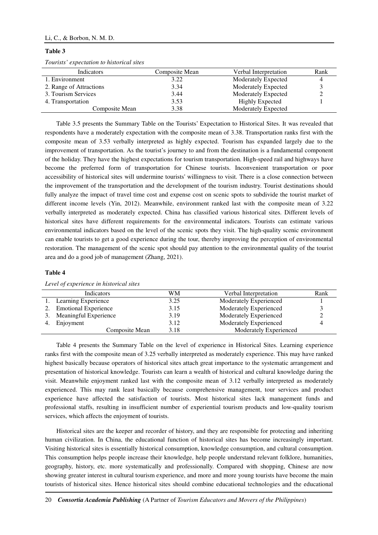## Li, C., & Borbon, N. M. D.

#### **Table 3**

| Tourists' expectation to historical sites |  |  |  |  |  |  |
|-------------------------------------------|--|--|--|--|--|--|
|-------------------------------------------|--|--|--|--|--|--|

| Indicators              | Composite Mean | Verbal Interpretation      | Rank |
|-------------------------|----------------|----------------------------|------|
| 1. Environment          | 3.22           | Moderately Expected        |      |
| 2. Range of Attractions | 3.34           | <b>Moderately Expected</b> |      |
| 3. Tourism Services     | 3.44           | <b>Moderately Expected</b> |      |
| 4. Transportation       | 3.53           | <b>Highly Expected</b>     |      |
| Composite Mean          | 3.38           | <b>Moderately Expected</b> |      |

Table 3.5 presents the Summary Table on the Tourists' Expectation to Historical Sites. It was revealed that respondents have a moderately expectation with the composite mean of 3.38. Transportation ranks first with the composite mean of 3.53 verbally interpreted as highly expected. Tourism has expanded largely due to the improvement of transportation. As the tourist's journey to and from the destination is a fundamental component of the holiday. They have the highest expectations for tourism transportation. High-speed rail and highways have become the preferred form of transportation for Chinese tourists. Inconvenient transportation or poor accessibility of historical sites will undermine tourists' willingness to visit. There is a close connection between the improvement of the transportation and the development of the tourism industry. Tourist destinations should fully analyze the impact of travel time cost and expense cost on scenic spots to subdivide the tourist market of different income levels (Yin, 2012). Meanwhile, environment ranked last with the composite mean of 3.22 verbally interpreted as moderately expected. China has classified various historical sites. Different levels of historical sites have different requirements for the environmental indicators. Tourists can estimate various environmental indicators based on the level of the scenic spots they visit. The high-quality scenic environment can enable tourists to get a good experience during the tour, thereby improving the perception of environmental restoration. The management of the scenic spot should pay attention to the environmental quality of the tourist area and do a good job of management (Zhang, 2021).

#### **Table 4**

| Indicators                  | WМ   | Verbal Interpretation  | Rank |
|-----------------------------|------|------------------------|------|
| 1. Learning Experience      | 3.25 | Moderately Experienced |      |
| <b>Emotional Experience</b> | 3.15 | Moderately Experienced |      |
| 3. Meaningful Experience    | 3.19 | Moderately Experienced |      |
| 4. Enjoyment                | 3.12 | Moderately Experienced |      |
| Composite Mean              | 3.18 | Moderately Experienced |      |

*Level of experience in historical sites* 

Table 4 presents the Summary Table on the level of experience in Historical Sites. Learning experience ranks first with the composite mean of 3.25 verbally interpreted as moderately experience. This may have ranked highest basically because operators of historical sites attach great importance to the systematic arrangement and presentation of historical knowledge. Tourists can learn a wealth of historical and cultural knowledge during the visit. Meanwhile enjoyment ranked last with the composite mean of 3.12 verbally interpreted as moderately experienced. This may rank least basically because comprehensive management, tour services and product experience have affected the satisfaction of tourists. Most historical sites lack management funds and professional staffs, resulting in insufficient number of experiential tourism products and low-quality tourism services, which affects the enjoyment of tourists.

Historical sites are the keeper and recorder of history, and they are responsible for protecting and inheriting human civilization. In China, the educational function of historical sites has become increasingly important. Visiting historical sites is essentially historical consumption, knowledge consumption, and cultural consumption. This consumption helps people increase their knowledge, help people understand relevant folklore, humanities, geography, history, etc. more systematically and professionally. Compared with shopping, Chinese are now showing greater interest in cultural tourism experience, and more and more young tourists have become the main tourists of historical sites. Hence historical sites should combine educational technologies and the educational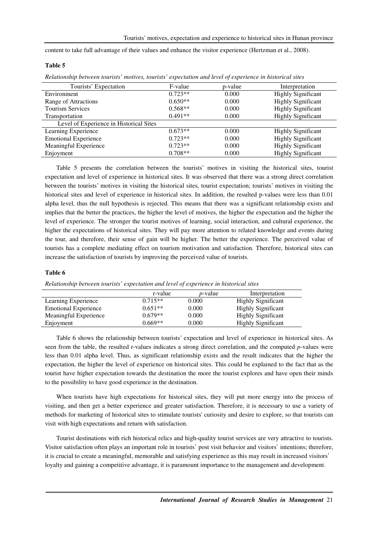content to take full advantage of their values and enhance the visitor experience (Hertzman et al., 2008).

#### **Table 5**

*Relationship between tourists' motives, tourists' expectation and level of experience in historical sites* 

| Tourists' Expectation                   | F-value   | p-value | Interpretation            |
|-----------------------------------------|-----------|---------|---------------------------|
| Environment                             | $0.723**$ | 0.000   | <b>Highly Significant</b> |
| Range of Attractions                    | $0.650**$ | 0.000   | <b>Highly Significant</b> |
| <b>Tourism Services</b>                 | $0.568**$ | 0.000   | <b>Highly Significant</b> |
| Transportation                          | $0.491**$ | 0.000   | <b>Highly Significant</b> |
| Level of Experience in Historical Sites |           |         |                           |
| Learning Experience                     | $0.673**$ | 0.000   | <b>Highly Significant</b> |
| <b>Emotional Experience</b>             | $0.723**$ | 0.000   | <b>Highly Significant</b> |
| Meaningful Experience                   | $0.723**$ | 0.000   | <b>Highly Significant</b> |
| Enjoyment                               | $0.708**$ | 0.000   | <b>Highly Significant</b> |

Table 5 presents the correlation between the tourists' motives in visiting the historical sites, tourist expectation and level of experience in historical sites. It was observed that there was a strong direct correlation between the tourists' motives in visiting the historical sites, tourist expectation; tourists' motives in visiting the historical sites and level of experience in historical sites. In addition, the resulted p-values were less than 0.01 alpha level, thus the null hypothesis is rejected. This means that there was a significant relationship exists and implies that the better the practices, the higher the level of motives, the higher the expectation and the higher the level of experience. The stronger the tourist motives of learning, social interaction, and cultural experience, the higher the expectations of historical sites. They will pay more attention to related knowledge and events during the tour, and therefore, their sense of gain will be higher. The better the experience. The perceived value of tourists has a complete mediating effect on tourism motivation and satisfaction. Therefore, historical sites can increase the satisfaction of tourists by improving the perceived value of tourists.

#### **Table 6**

*Relationship between tourists' expectation and level of experience in historical sites* 

|                             | r-value   | <i>p</i> -value | Interpretation            |
|-----------------------------|-----------|-----------------|---------------------------|
| Learning Experience         | $0.715**$ | 0.000           | Highly Significant        |
| <b>Emotional Experience</b> | $0.651**$ | 0.000           | <b>Highly Significant</b> |
| Meaningful Experience       | $0.679**$ | 0.000           | <b>Highly Significant</b> |
| Enjoyment                   | $0.669**$ | 0.000           | <b>Highly Significant</b> |

Table 6 shows the relationship between tourists' expectation and level of experience in historical sites. As seen from the table, the resulted r-values indicates a strong direct correlation, and the computed *p*-values were less than 0.01 alpha level. Thus, as significant relationship exists and the result indicates that the higher the expectation, the higher the level of experience on historical sites. This could be explained to the fact that as the tourist have higher expectation towards the destination the more the tourist explores and have open their minds to the possibility to have good experience in the destination.

When tourists have high expectations for historical sites, they will put more energy into the process of visiting, and then get a better experience and greater satisfaction. Therefore, it is necessary to use a variety of methods for marketing of historical sites to stimulate tourists' curiosity and desire to explore, so that tourists can visit with high expectations and return with satisfaction.

Tourist destinations with rich historical relics and high-quality tourist services are very attractive to tourists. Visitor satisfaction often plays an important role in tourists'post visit behavior and visitors'intentions; therefore, it is crucial to create a meaningful, memorable and satisfying experience as this may result in increased visitors' loyalty and gaining a competitive advantage, it is paramount importance to the management and development.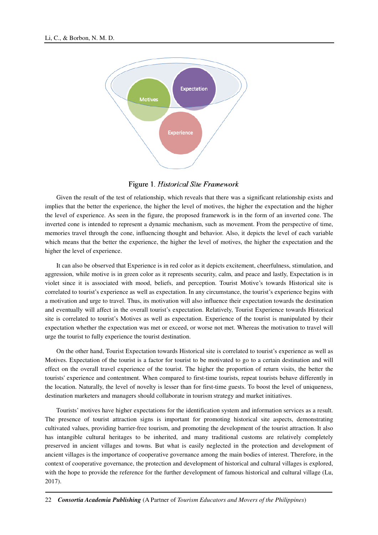

Figure 1. Historical Site Framework

Given the result of the test of relationship, which reveals that there was a significant relationship exists and implies that the better the experience, the higher the level of motives, the higher the expectation and the higher the level of experience. As seen in the figure, the proposed framework is in the form of an inverted cone. The inverted cone is intended to represent a dynamic mechanism, such as movement. From the perspective of time, memories travel through the cone, influencing thought and behavior. Also, it depicts the level of each variable which means that the better the experience, the higher the level of motives, the higher the expectation and the higher the level of experience.

It can also be observed that Experience is in red color as it depicts excitement, cheerfulness, stimulation, and aggression, while motive is in green color as it represents security, calm, and peace and lastly, Expectation is in violet since it is associated with mood, beliefs, and perception. Tourist Motive's towards Historical site is correlated to tourist's experience as well as expectation. In any circumstance, the tourist's experience begins with a motivation and urge to travel. Thus, its motivation will also influence their expectation towards the destination and eventually will affect in the overall tourist's expectation. Relatively, Tourist Experience towards Historical site is correlated to tourist's Motives as well as expectation. Experience of the tourist is manipulated by their expectation whether the expectation was met or exceed, or worse not met. Whereas the motivation to travel will urge the tourist to fully experience the tourist destination.

On the other hand, Tourist Expectation towards Historical site is correlated to tourist's experience as well as Motives. Expectation of the tourist is a factor for tourist to be motivated to go to a certain destination and will effect on the overall travel experience of the tourist. The higher the proportion of return visits, the better the tourists' experience and contentment. When compared to first-time tourists, repeat tourists behave differently in the location. Naturally, the level of novelty is lesser than for first-time guests. To boost the level of uniqueness, destination marketers and managers should collaborate in tourism strategy and market initiatives.

Tourists' motives have higher expectations for the identification system and information services as a result. The presence of tourist attraction signs is important for promoting historical site aspects, demonstrating cultivated values, providing barrier-free tourism, and promoting the development of the tourist attraction. It also has intangible cultural heritages to be inherited, and many traditional customs are relatively completely preserved in ancient villages and towns. But what is easily neglected in the protection and development of ancient villages is the importance of cooperative governance among the main bodies of interest. Therefore, in the context of cooperative governance, the protection and development of historical and cultural villages is explored, with the hope to provide the reference for the further development of famous historical and cultural village (Lu, 2017).

<sup>22</sup> *Consortia Academia Publishing* (A Partner of *Tourism Educators and Movers of the Philippines*)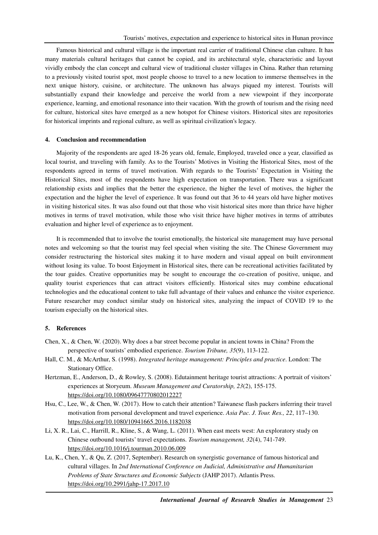Famous historical and cultural village is the important real carrier of traditional Chinese clan culture. It has many materials cultural heritages that cannot be copied, and its architectural style, characteristic and layout vividly embody the clan concept and cultural view of traditional cluster villages in China. Rather than returning to a previously visited tourist spot, most people choose to travel to a new location to immerse themselves in the next unique history, cuisine, or architecture. The unknown has always piqued my interest. Tourists will substantially expand their knowledge and perceive the world from a new viewpoint if they incorporate experience, learning, and emotional resonance into their vacation. With the growth of tourism and the rising need for culture, historical sites have emerged as a new hotspot for Chinese visitors. Historical sites are repositories for historical imprints and regional culture, as well as spiritual civilization's legacy.

## **4. Conclusion and recommendation**

Majority of the respondents are aged 18-26 years old, female, Employed, traveled once a year, classified as local tourist, and traveling with family. As to the Tourists' Motives in Visiting the Historical Sites, most of the respondents agreed in terms of travel motivation. With regards to the Tourists' Expectation in Visiting the Historical Sites, most of the respondents have high expectation on transportation. There was a significant relationship exists and implies that the better the experience, the higher the level of motives, the higher the expectation and the higher the level of experience. It was found out that 36 to 44 years old have higher motives in visiting historical sites. It was also found out that those who visit historical sites more than thrice have higher motives in terms of travel motivation, while those who visit thrice have higher motives in terms of attributes evaluation and higher level of experience as to enjoyment.

It is recommended that to involve the tourist emotionally, the historical site management may have personal notes and welcoming so that the tourist may feel special when visiting the site. The Chinese Government may consider restructuring the historical sites making it to have modern and visual appeal on built environment without losing its value. To boost Enjoyment in Historical sites, there can be recreational activities facilitated by the tour guides. Creative opportunities may be sought to encourage the co-creation of positive, unique, and quality tourist experiences that can attract visitors efficiently. Historical sites may combine educational technologies and the educational content to take full advantage of their values and enhance the visitor experience. Future researcher may conduct similar study on historical sites, analyzing the impact of COVID 19 to the tourism especially on the historical sites.

#### **5. References**

- Chen, X., & Chen, W. (2020). Why does a bar street become popular in ancient towns in China? From the perspective of tourists' embodied experience. *Tourism Tribune, 35*(9), 113-122.
- Hall, C. M., & McArthur, S. (1998). *Integrated heritage management: Principles and practice*. London: The Stationary Office.
- Hertzman, E., Anderson, D., & Rowley, S. (2008). Edutainment heritage tourist attractions: A portrait of visitors' experiences at Storyeum. *Museum Management and Curatorship, 23*(2), 155-175. https://doi.org/10.1080/09647770802012227
- Hsu, C., Lee, W., & Chen, W. (2017). How to catch their attention? Taiwanese flash packers inferring their travel motivation from personal development and travel experience. *Asia Pac. J. Tour. Res., 22*, 117–130. https://doi.org/10.1080/10941665.2016.1182038
- Li, X. R., Lai, C., Harrill, R., Kline, S., & Wang, L. (2011). When east meets west: An exploratory study on Chinese outbound tourists' travel expectations. *Tourism management, 32*(4), 741-749. https://doi.org/10.1016/j.tourman.2010.06.009
- Lu, K., Chen, Y., & Qu, Z. (2017, September). Research on synergistic governance of famous historical and cultural villages. In *2nd International Conference on Judicial, Administrative and Humanitarian Problems of State Structures and Economic Subjects* (JAHP 2017). Atlantis Press. https://doi.org/10.2991/jahp-17.2017.10